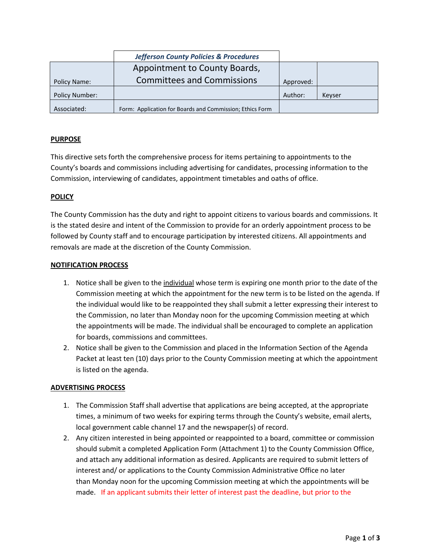|                | <b>Jefferson County Policies &amp; Procedures</b>        |           |        |
|----------------|----------------------------------------------------------|-----------|--------|
|                | Appointment to County Boards,                            |           |        |
| Policy Name:   | <b>Committees and Commissions</b>                        | Approved: |        |
| Policy Number: |                                                          | Author:   | Kevser |
| Associated:    | Form: Application for Boards and Commission; Ethics Form |           |        |

# **PURPOSE**

This directive sets forth the comprehensive process for items pertaining to appointments to the County's boards and commissions including advertising for candidates, processing information to the Commission, interviewing of candidates, appointment timetables and oaths of office.

### **POLICY**

The County Commission has the duty and right to appoint citizens to various boards and commissions. It is the stated desire and intent of the Commission to provide for an orderly appointment process to be followed by County staff and to encourage participation by interested citizens. All appointments and removals are made at the discretion of the County Commission.

#### **NOTIFICATION PROCESS**

- 1. Notice shall be given to the individual whose term is expiring one month prior to the date of the Commission meeting at which the appointment for the new term is to be listed on the agenda. If the individual would like to be reappointed they shall submit a letter expressing their interest to the Commission, no later than Monday noon for the upcoming Commission meeting at which the appointments will be made. The individual shall be encouraged to complete an application for boards, commissions and committees.
- 2. Notice shall be given to the Commission and placed in the Information Section of the Agenda Packet at least ten (10) days prior to the County Commission meeting at which the appointment is listed on the agenda.

### **ADVERTISING PROCESS**

- 1. The Commission Staff shall advertise that applications are being accepted, at the appropriate times, a minimum of two weeks for expiring terms through the County's website, email alerts, local government cable channel 17 and the newspaper(s) of record.
- 2. Any citizen interested in being appointed or reappointed to a board, committee or commission should submit a completed Application Form (Attachment 1) to the County Commission Office, and attach any additional information as desired. Applicants are required to submit letters of interest and/ or applications to the County Commission Administrative Office no later than Monday noon for the upcoming Commission meeting at which the appointments will be made. If an applicant submits their letter of interest past the deadline, but prior to the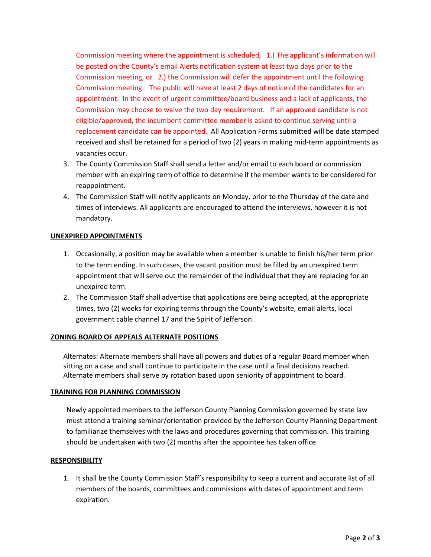Commission meeting where the appointment is scheduled, 1.) The applicant's information will be posted on the County's email Alerts notification system at least two days prior to the Commission meeting, or 2.) the Commission will defer the appointment until the following Commission meeting. The public will have at least 2 days of notice of the candidates for an appointment. In the event of urgent committee/board business and a lack of applicants, the Commission may choose to waive the two day requirement. If an approved candidate is not eligible/approved, the incumbent committee member is asked to continue serving until a replacement candidate can be appointed. All Application Forms submitted will be date stamped received and shall be retained for a period of two (2) years in making mid-term appointments as vacancies occur.

- 3. The County Commission Staff shall send a letter and/or email to each board or commission member with an expiring term of office to determine if the member wants to be considered for reappointment.
- 4. The Commission Staff will notify applicants on Monday, prior to the Thursday of the date and times of interviews. All applicants are encouraged to attend the interviews, however it is not mandatory.

# **UNEXPIRED APPOINTMENTS**

- 1. Occasionally, a position may be available when a member is unable to finish his/her term prior to the term ending. In such cases, the vacant position must be filled by an unexpired term appointment that will serve out the remainder of the individual that they are replacing for an unexpired term.
- 2. The Commission Staff shall advertise that applications are being accepted, at the appropriate times, two (2) weeks for expiring terms through the County's website, email alerts, local government cable channel 17 and the Spirit of Jefferson.

### **ZONING BOARD OF APPEALS ALTERNATE POSITIONS**

Alternates: Alternate members shall have all powers and duties of a regular Board member when sitting on a case and shall continue to participate in the case until a final decisions reached. Alternate members shall serve by rotation based upon seniority of appointment to board*.*

### **TRAINING FOR PLANNING COMMISSION**

Newly appointed members to the Jefferson County Planning Commission governed by state law must attend a training seminar/orientation provided by the Jefferson County Planning Department to familiarize themselves with the laws and procedures governing that commission. This training should be undertaken with two (2) months after the appointee has taken office.

### **RESPONSIBILITY**

1. It shall be the County Commission Staff's responsibility to keep a current and accurate list of all members of the boards, committees and commissions with dates of appointment and term expiration.